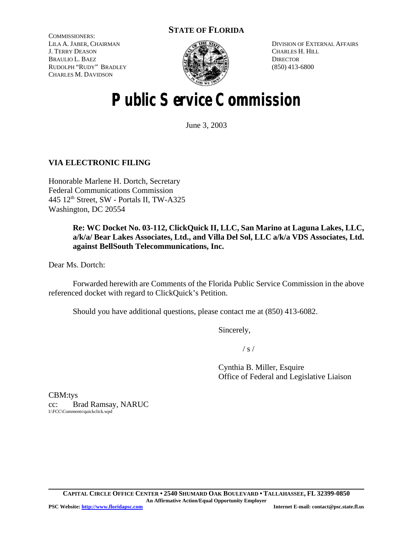# **STATE OF FLORIDA**

COMMISSIONERS: LILA A. JABER, CHAIRMAN J. TERRY DEASON BRAULIO L. BAEZ RUDOLPH "RUDY" BRADLEY CHARLES M. DAVIDSON



DIVISION OF EXTERNAL AFFAIRS CHARLES H. HILL **DIRECTOR** (850) 413-6800

# **Public Service Commission**

June 3, 2003

# **VIA ELECTRONIC FILING**

Honorable Marlene H. Dortch, Secretary Federal Communications Commission 445 12th Street, SW - Portals II, TW-A325 Washington, DC 20554

> **Re: WC Docket No. 03-112, ClickQuick II, LLC, San Marino at Laguna Lakes, LLC, a/k/a/ Bear Lakes Associates, Ltd., and Villa Del Sol, LLC a/k/a VDS Associates, Ltd. against BellSouth Telecommunications, Inc.**

Dear Ms. Dortch:

Forwarded herewith are Comments of the Florida Public Service Commission in the above referenced docket with regard to ClickQuick's Petition.

Should you have additional questions, please contact me at (850) 413-6082.

Sincerely,

 $/ s /$ 

Cynthia B. Miller, Esquire Office of Federal and Legislative Liaison

CBM:tys cc: Brad Ramsay, NARUC I:\FCC\Comments\quickclick.wpd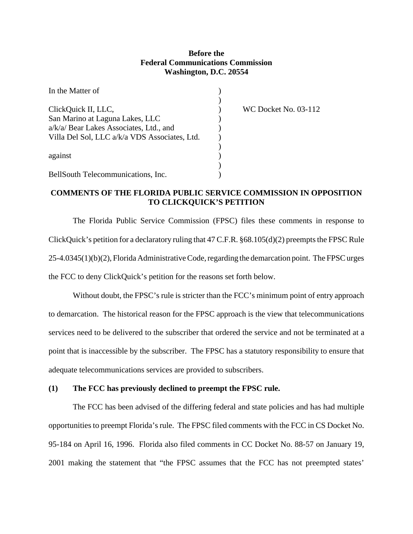#### **Before the Federal Communications Commission Washington, D.C. 20554**

| In the Matter of                              |  |
|-----------------------------------------------|--|
|                                               |  |
| ClickQuick II, LLC,                           |  |
| San Marino at Laguna Lakes, LLC               |  |
| a/k/a/ Bear Lakes Associates, Ltd., and       |  |
| Villa Del Sol, LLC a/k/a VDS Associates, Ltd. |  |
|                                               |  |
| against                                       |  |
|                                               |  |
| BellSouth Telecommunications, Inc.            |  |

 $WC$  Docket No. 03-112.

#### **COMMENTS OF THE FLORIDA PUBLIC SERVICE COMMISSION IN OPPOSITION TO CLICKQUICK'S PETITION**

The Florida Public Service Commission (FPSC) files these comments in response to ClickQuick's petition for a declaratory ruling that  $47$  C.F.R.  $§68.105(d)(2)$  preempts the FPSC Rule 25-4.0345(1)(b)(2), Florida AdministrativeCode,regarding the demarcation point. The FPSC urges the FCC to deny ClickQuick's petition for the reasons set forth below.

Without doubt, the FPSC's rule is stricter than the FCC's minimum point of entry approach to demarcation. The historical reason for the FPSC approach is the view that telecommunications services need to be delivered to the subscriber that ordered the service and not be terminated at a point that is inaccessible by the subscriber. The FPSC has a statutory responsibility to ensure that adequate telecommunications services are provided to subscribers.

#### **(1) The FCC has previously declined to preempt the FPSC rule.**

The FCC has been advised of the differing federal and state policies and has had multiple opportunities to preempt Florida's rule. The FPSC filed comments with the FCC in CS Docket No. 95-184 on April 16, 1996. Florida also filed comments in CC Docket No. 88-57 on January 19, 2001 making the statement that "the FPSC assumes that the FCC has not preempted states'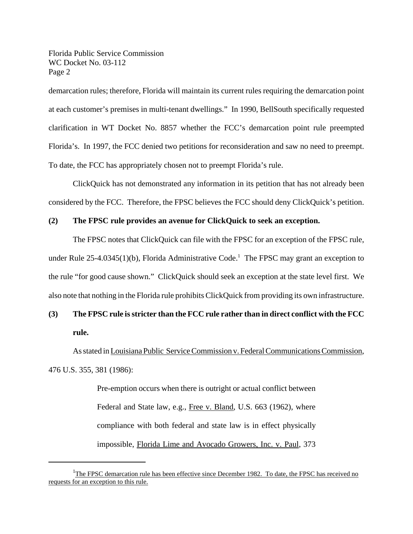demarcation rules; therefore, Florida will maintain its current rules requiring the demarcation point at each customer's premises in multi-tenant dwellings." In 1990, BellSouth specifically requested clarification in WT Docket No. 8857 whether the FCC's demarcation point rule preempted Florida's. In 1997, the FCC denied two petitions for reconsideration and saw no need to preempt. To date, the FCC has appropriately chosen not to preempt Florida's rule.

ClickQuick has not demonstrated any information in its petition that has not already been considered by the FCC. Therefore, the FPSC believes the FCC should deny ClickQuick's petition.

#### **(2) The FPSC rule provides an avenue for ClickQuick to seek an exception.**

The FPSC notes that ClickQuick can file with the FPSC for an exception of the FPSC rule, under Rule  $25-4.0345(1)(b)$ , Florida Administrative Code.<sup>1</sup> The FPSC may grant an exception to the rule "for good cause shown." ClickQuick should seek an exception at the state level first. We also note that nothing in the Florida rule prohibits ClickQuick from providing its own infrastructure.

# **(3) The FPSC rule isstricter than the FCC rule rather than in direct conflict with the FCC rule.**

As stated in Louisiana Public Service Commission v. Federal Communications Commission, 476 U.S. 355, 381 (1986):

> Pre-emption occurs when there is outright or actual conflict between Federal and State law, e.g., Free v. Bland, U.S. 663 (1962), where compliance with both federal and state law is in effect physically impossible, Florida Lime and Avocado Growers, Inc. v. Paul, 373

<sup>&</sup>lt;sup>1</sup>The FPSC demarcation rule has been effective since December 1982. To date, the FPSC has received no requests for an exception to this rule.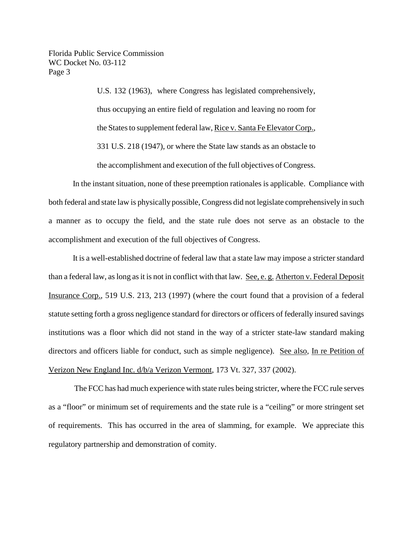> U.S. 132 (1963), where Congress has legislated comprehensively, thus occupying an entire field of regulation and leaving no room for the States to supplement federal law, Rice v. Santa Fe Elevator Corp., 331 U.S. 218 (1947), or where the State law stands as an obstacle to the accomplishment and execution of the full objectives of Congress.

In the instant situation, none of these preemption rationales is applicable. Compliance with both federal and state law is physically possible, Congress did not legislate comprehensively in such a manner as to occupy the field, and the state rule does not serve as an obstacle to the accomplishment and execution of the full objectives of Congress.

It is a well-established doctrine of federal law that a state law may impose a stricterstandard than a federal law, aslong asit is not in conflict with that law. See, e. g. Atherton v. Federal Deposit Insurance Corp., 519 U.S. 213, 213 (1997) (where the court found that a provision of a federal statute setting forth a gross negligence standard for directors or officers of federally insured savings institutions was a floor which did not stand in the way of a stricter state-law standard making directors and officers liable for conduct, such as simple negligence). See also, In re Petition of Verizon New England Inc. d/b/a Verizon Vermont, 173 Vt. 327, 337 (2002).

The FCC has had much experience with state rules being stricter, where the FCC rule serves as a "floor" or minimum set of requirements and the state rule is a "ceiling" or more stringent set of requirements. This has occurred in the area of slamming, for example. We appreciate this regulatory partnership and demonstration of comity.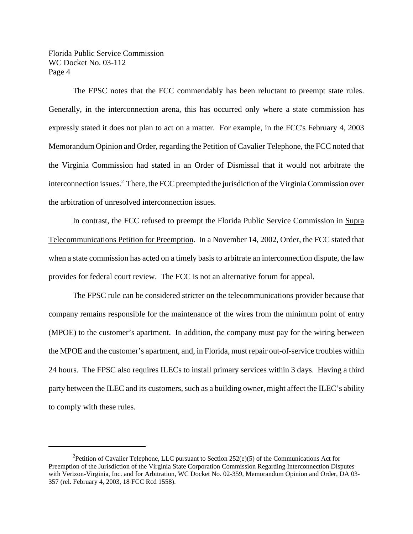The FPSC notes that the FCC commendably has been reluctant to preempt state rules. Generally, in the interconnection arena, this has occurred only where a state commission has expressly stated it does not plan to act on a matter. For example, in the FCC's February 4, 2003 Memorandum Opinion and Order, regarding the Petition of Cavalier Telephone, the FCC noted that the Virginia Commission had stated in an Order of Dismissal that it would not arbitrate the interconnection issues.<sup>2</sup> There, the FCC preempted the jurisdiction of the Virginia Commission over the arbitration of unresolved interconnection issues.

In contrast, the FCC refused to preempt the Florida Public Service Commission in Supra Telecommunications Petition for Preemption. In a November 14, 2002, Order, the FCC stated that when a state commission has acted on a timely basis to arbitrate an interconnection dispute, the law provides for federal court review. The FCC is not an alternative forum for appeal.

The FPSC rule can be considered stricter on the telecommunications provider because that company remains responsible for the maintenance of the wires from the minimum point of entry (MPOE) to the customer's apartment. In addition, the company must pay for the wiring between the MPOE and the customer's apartment, and, in Florida, must repair out-of-service troubles within 24 hours. The FPSC also requires ILECs to install primary services within 3 days. Having a third party between the ILEC and its customers, such as a building owner, might affect the ILEC's ability to comply with these rules.

<sup>&</sup>lt;sup>2</sup> Petition of Cavalier Telephone, LLC pursuant to Section 252(e)(5) of the Communications Act for Preemption of the Jurisdiction of the Virginia State Corporation Commission Regarding Interconnection Disputes with Verizon-Virginia, Inc. and for Arbitration, WC Docket No. 02-359, Memorandum Opinion and Order, DA 03- 357 (rel. February 4, 2003, 18 FCC Rcd 1558).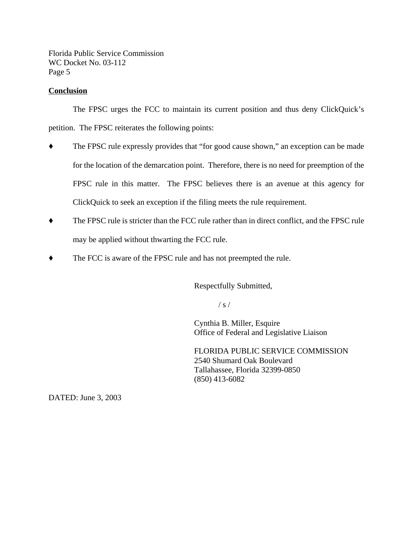#### **Conclusion**

The FPSC urges the FCC to maintain its current position and thus deny ClickQuick's petition. The FPSC reiterates the following points:

- The FPSC rule expressly provides that "for good cause shown," an exception can be made for the location of the demarcation point. Therefore, there is no need for preemption of the FPSC rule in this matter. The FPSC believes there is an avenue at this agency for ClickQuick to seek an exception if the filing meets the rule requirement.
- $\blacklozenge$  The FPSC rule is stricter than the FCC rule rather than in direct conflict, and the FPSC rule may be applied without thwarting the FCC rule.
- The FCC is aware of the FPSC rule and has not preempted the rule.

Respectfully Submitted,

 $/ s /$ 

Cynthia B. Miller, Esquire Office of Federal and Legislative Liaison

FLORIDA PUBLIC SERVICE COMMISSION 2540 Shumard Oak Boulevard Tallahassee, Florida 32399-0850 (850) 413-6082

DATED: June 3, 2003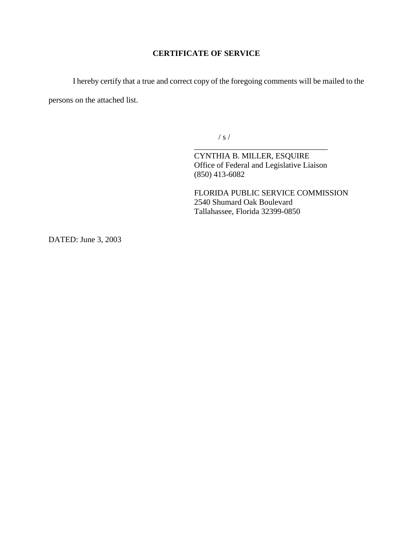### **CERTIFICATE OF SERVICE**

I hereby certify that a true and correct copy of the foregoing comments will be mailed to the persons on the attached list.

/ s /

CYNTHIA B. MILLER, ESQUIRE Office of Federal and Legislative Liaison (850) 413-6082

\_\_\_\_\_\_\_\_\_\_\_\_\_\_\_\_\_\_\_\_\_\_\_\_\_\_\_\_\_\_\_\_\_

FLORIDA PUBLIC SERVICE COMMISSION 2540 Shumard Oak Boulevard Tallahassee, Florida 32399-0850

DATED: June 3, 2003